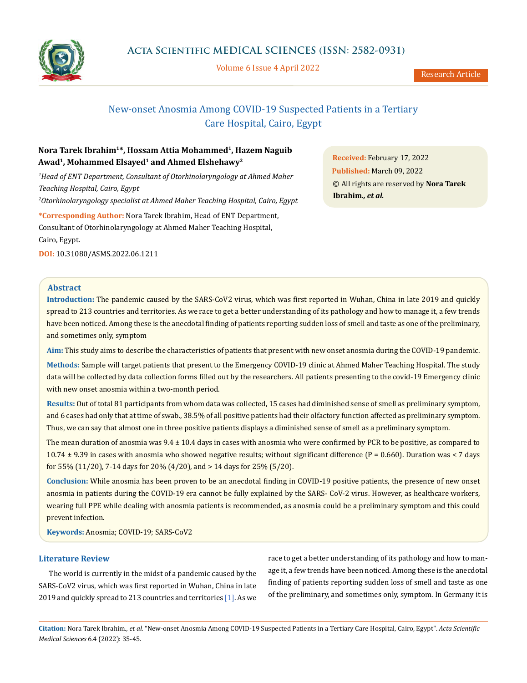

Volume 6 Issue 4 April 2022

# New-onset Anosmia Among COVID-19 Suspected Patients in a Tertiary Care Hospital, Cairo, Egypt

# **Nora Tarek Ibrahim1\*, Hossam Attia Mohammed1, Hazem Naguib Awad1, Mohammed Elsayed1 and Ahmed Elshehawy2**

*1 Head of ENT Department, Consultant of Otorhinolaryngology at Ahmed Maher Teaching Hospital, Cairo, Egypt 2 Otorhinolaryngology specialist at Ahmed Maher Teaching Hospital, Cairo, Egypt* **\*Corresponding Author:** Nora Tarek Ibrahim, Head of ENT Department, Consultant of Otorhinolaryngology at Ahmed Maher Teaching Hospital,

Cairo, Egypt.

**DOI:** [10.31080/ASMS.2022.06.121](http:// actascientific.com/ASMS/pdf/ASMS-06-1211.pdf)1

**Abstract**

**Introduction:** The pandemic caused by the SARS-CoV2 virus, which was first reported in Wuhan, China in late 2019 and quickly spread to 213 countries and territories. As we race to get a better understanding of its pathology and how to manage it, a few trends have been noticed. Among these is the anecdotal finding of patients reporting sudden loss of smell and taste as one of the preliminary, and sometimes only, symptom

**Aim:** This study aims to describe the characteristics of patients that present with new onset anosmia during the COVID-19 pandemic.

**Methods:** Sample will target patients that present to the Emergency COVID-19 clinic at Ahmed Maher Teaching Hospital. The study data will be collected by data collection forms filled out by the researchers. All patients presenting to the covid-19 Emergency clinic with new onset anosmia within a two-month period.

**Results:** Out of total 81 participants from whom data was collected, 15 cases had diminished sense of smell as preliminary symptom, and 6 cases had only that at time of swab., 38.5% of all positive patients had their olfactory function affected as preliminary symptom. Thus, we can say that almost one in three positive patients displays a diminished sense of smell as a preliminary symptom.

The mean duration of anosmia was 9.4 ± 10.4 days in cases with anosmia who were confirmed by PCR to be positive, as compared to  $10.74 \pm 9.39$  in cases with anosmia who showed negative results; without significant difference (P = 0.660). Duration was < 7 days for 55% (11/20), 7-14 days for 20% (4/20), and > 14 days for 25% (5/20).

**Conclusion:** While anosmia has been proven to be an anecdotal finding in COVID-19 positive patients, the presence of new onset anosmia in patients during the COVID-19 era cannot be fully explained by the SARS- CoV-2 virus. However, as healthcare workers, wearing full PPE while dealing with anosmia patients is recommended, as anosmia could be a preliminary symptom and this could prevent infection.

**Keywords:** Anosmia; COVID-19; SARS-CoV2

# **Literature Review**

The world is currently in the midst of a pandemic caused by the SARS-CoV2 virus, which was first reported in Wuhan, China in late 2019 and quickly spread to 213 countries and territories [1]. As we

race to get a better understanding of its pathology and how to manage it, a few trends have been noticed. Among these is the anecdotal finding of patients reporting sudden loss of smell and taste as one of the preliminary, and sometimes only, symptom. In Germany it is

**Citation:** Nora Tarek Ibrahim*., et al.* "New-onset Anosmia Among COVID-19 Suspected Patients in a Tertiary Care Hospital, Cairo, Egypt". *Acta Scientific Medical Sciences* 6.4 (2022): 35-45.

**Received:** February 17, 2022 **Published:** March 09, 2022 © All rights are reserved by **Nora Tarek Ibrahim***., et al.*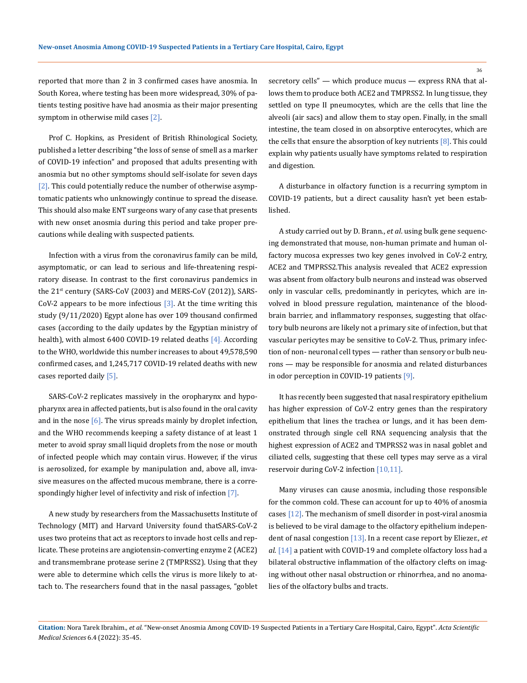reported that more than 2 in 3 confirmed cases have anosmia. In South Korea, where testing has been more widespread, 30% of patients testing positive have had anosmia as their major presenting symptom in otherwise mild cases [2].

Prof C. Hopkins, as President of British Rhinological Society, published a letter describing "the loss of sense of smell as a marker of COVID-19 infection" and proposed that adults presenting with anosmia but no other symptoms should self-isolate for seven days [2]. This could potentially reduce the number of otherwise asymptomatic patients who unknowingly continue to spread the disease. This should also make ENT surgeons wary of any case that presents with new onset anosmia during this period and take proper precautions while dealing with suspected patients.

Infection with a virus from the coronavirus family can be mild, asymptomatic, or can lead to serious and life-threatening respiratory disease. In contrast to the first coronavirus pandemics in the  $21^{st}$  century (SARS-CoV (2003) and MERS-CoV (2012)), SARS-CoV-2 appears to be more infectious  $[3]$ . At the time writing this study (9/11/2020) Egypt alone has over 109 thousand confirmed cases (according to the daily updates by the Egyptian ministry of health), with almost 6400 COVID-19 related deaths [4]. According to the WHO, worldwide this number increases to about 49,578,590 confirmed cases, and 1,245,717 COVID-19 related deaths with new cases reported daily [5].

SARS-CoV-2 replicates massively in the oropharynx and hypopharynx area in affected patients, but is also found in the oral cavity and in the nose  $\lceil 6 \rceil$ . The virus spreads mainly by droplet infection, and the WHO recommends keeping a safety distance of at least 1 meter to avoid spray small liquid droplets from the nose or mouth of infected people which may contain virus. However, if the virus is aerosolized, for example by manipulation and, above all, invasive measures on the affected mucous membrane, there is a correspondingly higher level of infectivity and risk of infection [7].

A new study by researchers from the Massachusetts Institute of Technology (MIT) and Harvard University found thatSARS-CoV-2 uses two proteins that act as receptors to invade host cells and replicate. These proteins are angiotensin-converting enzyme 2 (ACE2) and transmembrane protease serine 2 (TMPRSS2). Using that they were able to determine which cells the virus is more likely to attach to. The researchers found that in the nasal passages, "goblet

secretory cells" — which produce mucus — express RNA that allows them to produce both ACE2 and TMPRSS2. In lung tissue, they settled on type II pneumocytes, which are the cells that line the alveoli (air sacs) and allow them to stay open. Finally, in the small intestine, the team closed in on absorptive enterocytes, which are the cells that ensure the absorption of key nutrients  $[8]$ . This could explain why patients usually have symptoms related to respiration and digestion.

A disturbance in olfactory function is a recurring symptom in COVID-19 patients, but a direct causality hasn't yet been established.

A study carried out by D. Brann., *et al*. using bulk gene sequencing demonstrated that mouse, non-human primate and human olfactory mucosa expresses two key genes involved in CoV-2 entry, ACE2 and TMPRSS2.This analysis revealed that ACE2 expression was absent from olfactory bulb neurons and instead was observed only in vascular cells, predominantly in pericytes, which are involved in blood pressure regulation, maintenance of the bloodbrain barrier, and inflammatory responses, suggesting that olfactory bulb neurons are likely not a primary site of infection, but that vascular pericytes may be sensitive to CoV-2. Thus, primary infection of non- neuronal cell types — rather than sensory or bulb neurons — may be responsible for anosmia and related disturbances in odor perception in COVID-19 patients [9].

It has recently been suggested that nasal respiratory epithelium has higher expression of CoV-2 entry genes than the respiratory epithelium that lines the trachea or lungs, and it has been demonstrated through single cell RNA sequencing analysis that the highest expression of ACE2 and TMPRSS2 was in nasal goblet and ciliated cells, suggesting that these cell types may serve as a viral reservoir during CoV-2 infection [10,11].

Many viruses can cause anosmia, including those responsible for the common cold. These can account for up to 40% of anosmia cases [12]. The mechanism of smell disorder in post-viral anosmia is believed to be viral damage to the olfactory epithelium independent of nasal congestion [13]. In a recent case report by Eliezer., *et al*. [14] a patient with COVID-19 and complete olfactory loss had a bilateral obstructive inflammation of the olfactory clefts on imaging without other nasal obstruction or rhinorrhea, and no anomalies of the olfactory bulbs and tracts.

```
Citation: Nora Tarek Ibrahim., et al. "New-onset Anosmia Among COVID-19 Suspected Patients in a Tertiary Care Hospital, Cairo, Egypt". Acta Scientific 
Medical Sciences 6.4 (2022): 35-45.
```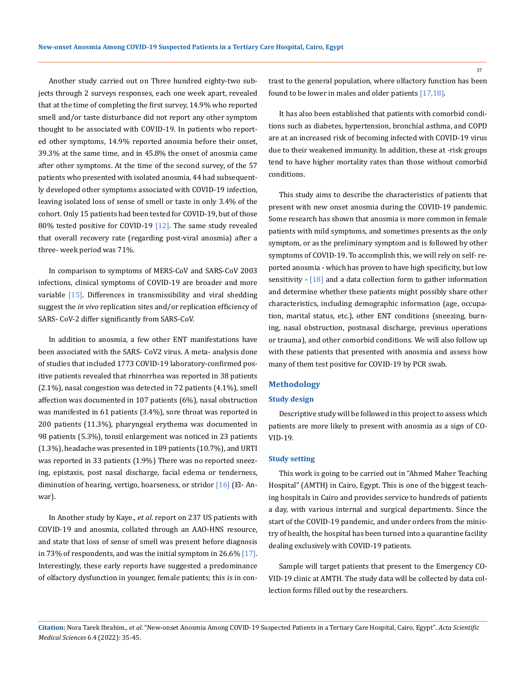Another study carried out on Three hundred eighty-two subjects through 2 surveys responses, each one week apart, revealed that at the time of completing the first survey, 14.9% who reported smell and/or taste disturbance did not report any other symptom thought to be associated with COVID-19. In patients who reported other symptoms, 14.9% reported anosmia before their onset, 39.3% at the same time, and in 45.8% the onset of anosmia came after other symptoms. At the time of the second survey, of the 57 patients who presented with isolated anosmia, 44 had subsequently developed other symptoms associated with COVID-19 infection, leaving isolated loss of sense of smell or taste in only 3.4% of the cohort. Only 15 patients had been tested for COVID-19, but of those 80% tested positive for COVID-19  $[12]$ . The same study revealed that overall recovery rate (regarding post-viral anosmia) after a three- week period was 71%.

In comparison to symptoms of MERS-CoV and SARS-CoV 2003 infections, clinical symptoms of COVID-19 are broader and more variable [15]. Differences in transmissibility and viral shedding suggest the *in vivo* replication sites and/or replication efficiency of SARS- CoV-2 differ significantly from SARS-CoV.

In addition to anosmia, a few other ENT manifestations have been associated with the SARS- CoV2 virus. A meta- analysis done of studies that included 1773 COVID-19 laboratory-confirmed positive patients revealed that rhinorrhea was reported in 38 patients (2.1%), nasal congestion was detected in 72 patients (4.1%), smell affection was documented in 107 patients (6%), nasal obstruction was manifested in 61 patients (3.4%), sore throat was reported in 200 patients (11.3%), pharyngeal erythema was documented in 98 patients (5.3%), tonsil enlargement was noticed in 23 patients (1.3%), headache was presented in 189 patients (10.7%), and URTI was reported in 33 patients (1.9%) There was no reported sneezing, epistaxis, post nasal discharge, facial edema or tenderness, diminution of hearing, vertigo, hoarseness, or stridor [16] (El-Anwar).

In Another study by Kaye., *et al*. report on 237 US patients with COVID-19 and anosmia, collated through an AAO-HNS resource, and state that loss of sense of smell was present before diagnosis in 73% of respondents, and was the initial symptom in 26.6% [17]. Interestingly, these early reports have suggested a predominance of olfactory dysfunction in younger, female patients; this is in contrast to the general population, where olfactory function has been found to be lower in males and older patients [17,18].

It has also been established that patients with comorbid conditions such as diabetes, hypertension, bronchial asthma, and COPD are at an increased risk of becoming infected with COVID-19 virus due to their weakened immunity. In addition, these at -risk groups tend to have higher mortality rates than those without comorbid conditions.

This study aims to describe the characteristics of patients that present with new onset anosmia during the COVID-19 pandemic. Some research has shown that anosmia is more common in female patients with mild symptoms, and sometimes presents as the only symptom, or as the preliminary symptom and is followed by other symptoms of COVID-19. To accomplish this, we will rely on self- reported anosmia - which has proven to have high specificity, but low sensitivity - [18] and a data collection form to gather information and determine whether these patients might possibly share other characteristics, including demographic information (age, occupation, marital status, etc.), other ENT conditions (sneezing, burning, nasal obstruction, postnasal discharge, previous operations or trauma), and other comorbid conditions. We will also follow up with these patients that presented with anosmia and assess how many of them test positive for COVID-19 by PCR swab.

# **Methodology**

# **Study design**

Descriptive study will be followed in this project to assess which patients are more likely to present with anosmia as a sign of CO-VID-19.

#### **Study setting**

This work is going to be carried out in "Ahmed Maher Teaching Hospital" (AMTH) in Cairo, Egypt. This is one of the biggest teaching hospitals in Cairo and provides service to hundreds of patients a day, with various internal and surgical departments. Since the start of the COVID-19 pandemic, and under orders from the ministry of health, the hospital has been turned into a quarantine facility dealing exclusively with COVID-19 patients.

Sample will target patients that present to the Emergency CO-VID-19 clinic at AMTH. The study data will be collected by data collection forms filled out by the researchers.

**Citation:** Nora Tarek Ibrahim*., et al.* "New-onset Anosmia Among COVID-19 Suspected Patients in a Tertiary Care Hospital, Cairo, Egypt". *Acta Scientific Medical Sciences* 6.4 (2022): 35-45.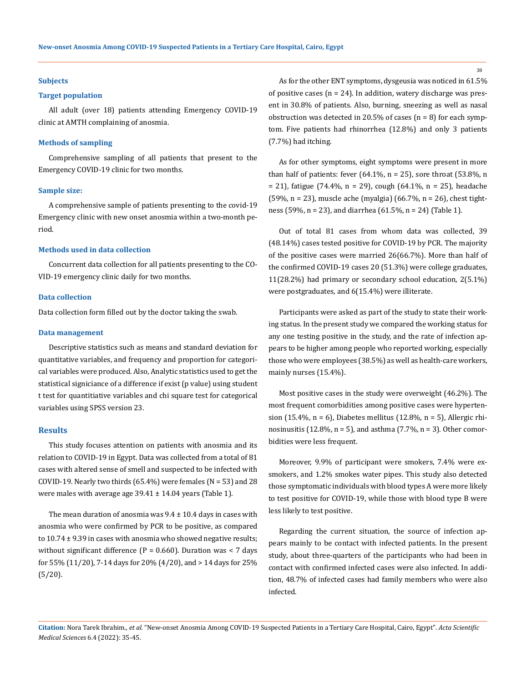#### **Subjects**

### **Target population**

All adult (over 18) patients attending Emergency COVID-19 clinic at AMTH complaining of anosmia.

#### **Methods of sampling**

Comprehensive sampling of all patients that present to the Emergency COVID-19 clinic for two months.

#### **Sample size:**

A comprehensive sample of patients presenting to the covid-19 Emergency clinic with new onset anosmia within a two-month period.

#### **Methods used in data collection**

Concurrent data collection for all patients presenting to the CO-VID-19 emergency clinic daily for two months.

## **Data collection**

Data collection form filled out by the doctor taking the swab.

#### **Data management**

Descriptive statistics such as means and standard deviation for quantitative variables, and frequency and proportion for categorical variables were produced. Also, Analytic statistics used to get the statistical signiciance of a difference if exist (p value) using student t test for quantitiative variables and chi square test for categorical variables using SPSS version 23.

#### **Results**

This study focuses attention on patients with anosmia and its relation to COVID-19 in Egypt. Data was collected from a total of 81 cases with altered sense of smell and suspected to be infected with COVID-19. Nearly two thirds  $(65.4%)$  were females  $(N = 53)$  and 28 were males with average age  $39.41 \pm 14.04$  years (Table 1).

The mean duration of anosmia was  $9.4 \pm 10.4$  days in cases with anosmia who were confirmed by PCR to be positive, as compared to  $10.74 \pm 9.39$  in cases with anosmia who showed negative results; without significant difference  $(P = 0.660)$ . Duration was < 7 days for 55% (11/20), 7-14 days for 20% (4/20), and > 14 days for 25% (5/20).

As for the other ENT symptoms, dysgeusia was noticed in 61.5% of positive cases ( $n = 24$ ). In addition, watery discharge was present in 30.8% of patients. Also, burning, sneezing as well as nasal obstruction was detected in 20.5% of cases ( $n = 8$ ) for each symptom. Five patients had rhinorrhea (12.8%) and only 3 patients (7.7%) had itching.

As for other symptoms, eight symptoms were present in more than half of patients: fever  $(64.1\%, n = 25)$ , sore throat  $(53.8\%, n$  $= 21$ ), fatigue (74.4%, n = 29), cough (64.1%, n = 25), headache (59%, n = 23), muscle ache (myalgia) (66.7%, n = 26), chest tightness (59%, n = 23), and diarrhea (61.5%, n = 24) (Table 1).

Out of total 81 cases from whom data was collected, 39 (48.14%) cases tested positive for COVID-19 by PCR. The majority of the positive cases were married 26(66.7%). More than half of the confirmed COVID-19 cases 20 (51.3%) were college graduates, 11(28.2%) had primary or secondary school education, 2(5.1%) were postgraduates, and 6(15.4%) were illiterate.

Participants were asked as part of the study to state their working status. In the present study we compared the working status for any one testing positive in the study, and the rate of infection appears to be higher among people who reported working, especially those who were employees (38.5%) as well as health-care workers, mainly nurses (15.4%).

Most positive cases in the study were overweight (46.2%). The most frequent comorbidities among positive cases were hypertension (15.4%, n = 6), Diabetes mellitus (12.8%, n = 5), Allergic rhinosinusitis (12.8%,  $n = 5$ ), and asthma (7.7%,  $n = 3$ ). Other comorbidities were less frequent.

Moreover, 9.9% of participant were smokers, 7.4% were exsmokers, and 1.2% smokes water pipes. This study also detected those symptomatic individuals with blood types A were more likely to test positive for COVID-19, while those with blood type B were less likely to test positive.

Regarding the current situation, the source of infection appears mainly to be contact with infected patients. In the present study, about three-quarters of the participants who had been in contact with confirmed infected cases were also infected. In addition, 48.7% of infected cases had family members who were also infected.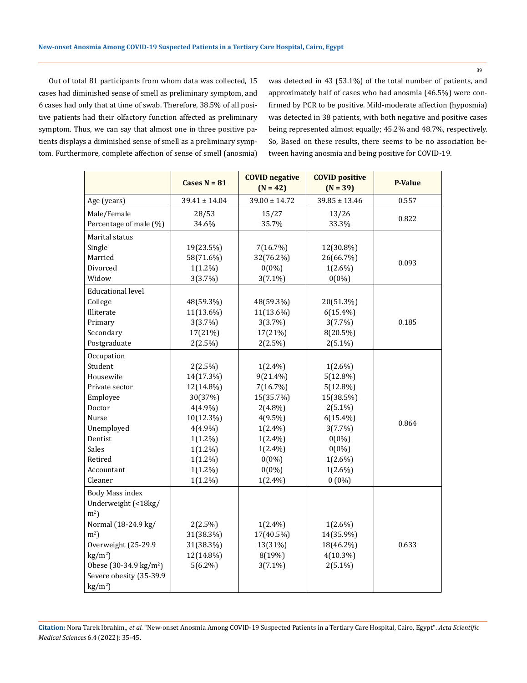39

Out of total 81 participants from whom data was collected, 15 cases had diminished sense of smell as preliminary symptom, and 6 cases had only that at time of swab. Therefore, 38.5% of all positive patients had their olfactory function affected as preliminary symptom. Thus, we can say that almost one in three positive patients displays a diminished sense of smell as a preliminary symptom. Furthermore, complete affection of sense of smell (anosmia) was detected in 43 (53.1%) of the total number of patients, and approximately half of cases who had anosmia (46.5%) were confirmed by PCR to be positive. Mild-moderate affection (hyposmia) was detected in 38 patients, with both negative and positive cases being represented almost equally; 45.2% and 48.7%, respectively. So, Based on these results, there seems to be no association between having anosmia and being positive for COVID-19.

| $39.00 \pm 14.72$<br>$39.85 \pm 13.46$<br>$39.41 \pm 14.04$<br>0.557<br>Age (years)<br>Male/Female<br>28/53<br>15/27<br>13/26<br>0.822<br>Percentage of male (%)<br>34.6%<br>35.7%<br>33.3%<br>Marital status |        | Cases $N = 81$ | <b>COVID negative</b><br>$(N = 42)$ | <b>COVID positive</b><br>$(N = 39)$ | <b>P-Value</b> |
|---------------------------------------------------------------------------------------------------------------------------------------------------------------------------------------------------------------|--------|----------------|-------------------------------------|-------------------------------------|----------------|
|                                                                                                                                                                                                               |        |                |                                     |                                     |                |
|                                                                                                                                                                                                               |        |                |                                     |                                     |                |
|                                                                                                                                                                                                               |        |                |                                     |                                     |                |
|                                                                                                                                                                                                               |        |                |                                     |                                     |                |
|                                                                                                                                                                                                               | Single | 19(23.5%)      | 7(16.7%)                            | 12(30.8%)                           |                |
| Married<br>58(71.6%)<br>32(76.2%)<br>26(66.7%)<br>0.093                                                                                                                                                       |        |                |                                     |                                     |                |
| $0(0\%)$<br>Divorced<br>$1(1.2\%)$<br>$1(2.6\%)$                                                                                                                                                              |        |                |                                     |                                     |                |
| Widow<br>$0(0\%)$<br>3(3.7%)<br>$3(7.1\%)$                                                                                                                                                                    |        |                |                                     |                                     |                |
| <b>Educational level</b>                                                                                                                                                                                      |        |                |                                     |                                     |                |
| College<br>48(59.3%)<br>48(59.3%)<br>20(51.3%)                                                                                                                                                                |        |                |                                     |                                     |                |
| Illiterate<br>11(13.6%)<br>11(13.6%)<br>$6(15.4\%)$                                                                                                                                                           |        |                |                                     |                                     |                |
| Primary<br>3(3.7%)<br>3(3.7%)<br>3(7.7%)<br>0.185                                                                                                                                                             |        |                |                                     |                                     |                |
| Secondary<br>17(21%)<br>17(21%)<br>8(20.5%)                                                                                                                                                                   |        |                |                                     |                                     |                |
| Postgraduate<br>2(2.5%)<br>2(2.5%)<br>$2(5.1\%)$                                                                                                                                                              |        |                |                                     |                                     |                |
| Occupation                                                                                                                                                                                                    |        |                |                                     |                                     |                |
| Student<br>$2(2.5\%)$<br>$1(2.4\%)$<br>$1(2.6\%)$                                                                                                                                                             |        |                |                                     |                                     |                |
| Housewife<br>14(17.3%)<br>$9(21.4\%)$<br>$5(12.8\%)$                                                                                                                                                          |        |                |                                     |                                     |                |
| 12(14.8%)<br>7(16.7%)<br>$5(12.8\%)$<br>Private sector                                                                                                                                                        |        |                |                                     |                                     |                |
| Employee<br>30(37%)<br>15(35.7%)<br>15(38.5%)                                                                                                                                                                 |        |                |                                     |                                     |                |
| Doctor<br>$4(4.9\%)$<br>$2(4.8\%)$<br>$2(5.1\%)$                                                                                                                                                              |        |                |                                     |                                     |                |
| Nurse<br>10(12.3%)<br>$6(15.4\%)$<br>$4(9.5\%)$                                                                                                                                                               |        |                |                                     |                                     |                |
| 0.864<br>Unemployed<br>$4(4.9\%)$<br>$1(2.4\%)$<br>$3(7.7\%)$                                                                                                                                                 |        |                |                                     |                                     |                |
| Dentist<br>$0(0\%)$<br>$1(1.2\%)$<br>$1(2.4\%)$                                                                                                                                                               |        |                |                                     |                                     |                |
| Sales<br>$0(0\%)$<br>$1(1.2\%)$<br>$1(2.4\%)$                                                                                                                                                                 |        |                |                                     |                                     |                |
| Retired<br>$1(1.2\%)$<br>$0(0\%)$<br>$1(2.6\%)$                                                                                                                                                               |        |                |                                     |                                     |                |
| $0(0\%)$<br>$1(2.6\%)$<br>Accountant<br>$1(1.2\%)$                                                                                                                                                            |        |                |                                     |                                     |                |
| $0(0\%)$<br>Cleaner<br>$1(1.2\%)$<br>$1(2.4\%)$                                                                                                                                                               |        |                |                                     |                                     |                |
| <b>Body Mass index</b>                                                                                                                                                                                        |        |                |                                     |                                     |                |
| Underweight (<18kg/                                                                                                                                                                                           |        |                |                                     |                                     |                |
| m <sup>2</sup>                                                                                                                                                                                                |        |                |                                     |                                     |                |
| Normal (18-24.9 kg/<br>$1(2.6\%)$<br>2(2.5%)<br>$1(2.4\%)$                                                                                                                                                    |        |                |                                     |                                     |                |
| m <sup>2</sup><br>31(38.3%)<br>14(35.9%)<br>17(40.5%)                                                                                                                                                         |        |                |                                     |                                     |                |
| Overweight (25-29.9<br>31(38.3%)<br>13(31%)<br>18(46.2%)<br>0.633                                                                                                                                             |        |                |                                     |                                     |                |
| $kg/m2$ )<br>12(14.8%)<br>8(19%)<br>$4(10.3\%)$                                                                                                                                                               |        |                |                                     |                                     |                |
| Obese $(30-34.9 \text{ kg/m}^2)$<br>$5(6.2\%)$<br>$3(7.1\%)$<br>$2(5.1\%)$                                                                                                                                    |        |                |                                     |                                     |                |
| Severe obesity (35-39.9                                                                                                                                                                                       |        |                |                                     |                                     |                |
| $\text{kg/m}^2$ )                                                                                                                                                                                             |        |                |                                     |                                     |                |

**Citation:** Nora Tarek Ibrahim*., et al.* "New-onset Anosmia Among COVID-19 Suspected Patients in a Tertiary Care Hospital, Cairo, Egypt". *Acta Scientific Medical Sciences* 6.4 (2022): 35-45.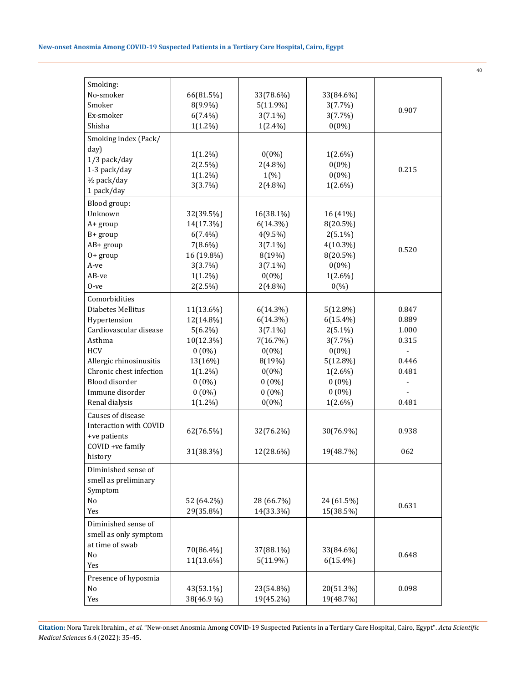| Smoking:                |            |             |             |                |
|-------------------------|------------|-------------|-------------|----------------|
| No-smoker               | 66(81.5%)  | 33(78.6%)   | 33(84.6%)   |                |
| Smoker                  | 8(9.9%)    | $5(11.9\%)$ | 3(7.7%)     |                |
| Ex-smoker               | $6(7.4\%)$ | $3(7.1\%)$  | 3(7.7%)     | 0.907          |
| Shisha                  | $1(1.2\%)$ | $1(2.4\%)$  | $0(0\%)$    |                |
| Smoking index (Pack/    |            |             |             |                |
|                         |            |             |             |                |
| day)                    | $1(1.2\%)$ | $0(0\%)$    | $1(2.6\%)$  |                |
| 1/3 pack/day            | 2(2.5%)    | $2(4.8\%)$  | $0(0\%)$    |                |
| 1-3 pack/day            | $1(1.2\%)$ | 1(%)        | $0(0\%)$    | 0.215          |
| 1/2 pack/day            | 3(3.7%)    | $2(4.8\%)$  | $1(2.6\%)$  |                |
| 1 pack/day              |            |             |             |                |
| Blood group:            |            |             |             |                |
| Unknown                 | 32(39.5%)  | 16(38.1%)   | 16 (41%)    |                |
| A+ group                | 14(17.3%)  | $6(14.3\%)$ | 8(20.5%)    |                |
| B+ group                | $6(7.4\%)$ | $4(9.5\%)$  | $2(5.1\%)$  |                |
| AB+ group               | $7(8.6\%)$ | $3(7.1\%)$  | $4(10.3\%)$ | 0.520          |
| $0+$ group              | 16 (19.8%) | 8(19%)      | 8(20.5%)    |                |
| A-ve                    | 3(3.7%)    | $3(7.1\%)$  | $0(0\%)$    |                |
| AB-ve                   | $1(1.2\%)$ | $0(0\%)$    | $1(2.6\%)$  |                |
| $0$ -ve                 | 2(2.5%)    | $2(4.8\%)$  | 0(%)        |                |
| Comorbidities           |            |             |             |                |
| Diabetes Mellitus       | 11(13.6%)  | $6(14.3\%)$ | $5(12.8\%)$ | 0.847          |
| Hypertension            | 12(14.8%)  | $6(14.3\%)$ | $6(15.4\%)$ | 0.889          |
| Cardiovascular disease  | $5(6.2\%)$ | $3(7.1\%)$  | $2(5.1\%)$  | 1.000          |
| Asthma                  | 10(12.3%)  | 7(16.7%)    | 3(7.7%)     | 0.315          |
| <b>HCV</b>              | $0(0\%)$   | $0(0\%)$    | $0(0\%)$    | $\overline{a}$ |
| Allergic rhinosinusitis | 13(16%)    | 8(19%)      | $5(12.8\%)$ | 0.446          |
| Chronic chest infection | $1(1.2\%)$ | $0(0\%)$    | $1(2.6\%)$  | 0.481          |
| Blood disorder          | $0(0\%)$   | $0(0\%)$    | $0(0\%)$    |                |
| Immune disorder         | $0(0\%)$   | $0(0\%)$    | $0(0\%)$    |                |
| Renal dialysis          | $1(1.2\%)$ | $0(0\%)$    | $1(2.6\%)$  | 0.481          |
| Causes of disease       |            |             |             |                |
|                         |            |             |             |                |
| Interaction with COVID  | 62(76.5%)  | 32(76.2%)   | 30(76.9%)   | 0.938          |
| +ve patients            |            |             |             |                |
| COVID +ve family        | 31(38.3%)  | 12(28.6%)   | 19(48.7%)   | 062            |
| history                 |            |             |             |                |
| Diminished sense of     |            |             |             |                |
| smell as preliminary    |            |             |             |                |
| Symptom                 |            |             |             |                |
| No                      | 52 (64.2%) | 28 (66.7%)  | 24 (61.5%)  | 0.631          |
| Yes                     | 29(35.8%)  | 14(33.3%)   | 15(38.5%)   |                |
| Diminished sense of     |            |             |             |                |
| smell as only symptom   |            |             |             |                |
| at time of swab         | 70(86.4%)  | 37(88.1%)   | 33(84.6%)   |                |
| No                      | 11(13.6%)  | $5(11.9\%)$ | $6(15.4\%)$ | 0.648          |
| Yes                     |            |             |             |                |
| Presence of hyposmia    |            |             |             |                |
| No                      | 43(53.1%)  | 23(54.8%)   | 20(51.3%)   | 0.098          |
| Yes                     | 38(46.9%)  | 19(45.2%)   | 19(48.7%)   |                |
|                         |            |             |             |                |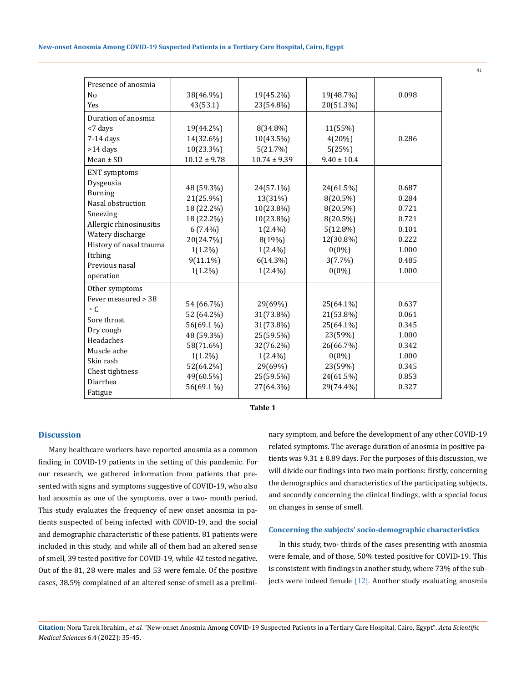| Presence of anosmia     |                  |                  |                 |       |
|-------------------------|------------------|------------------|-----------------|-------|
| N <sub>0</sub>          | 38(46.9%)        | 19(45.2%)        | 19(48.7%)       | 0.098 |
| Yes                     | 43(53.1)         | 23(54.8%)        | 20(51.3%)       |       |
| Duration of anosmia     |                  |                  |                 |       |
| <7 days                 | 19(44.2%)        | 8(34.8%)         | 11(55%)         |       |
| $7-14$ days             | 14(32.6%)        | 10(43.5%)        | 4(20%)          | 0.286 |
| $>14$ days              | 10(23.3%)        | 5(21.7%)         | 5(25%)          |       |
| $Mean \pm SD$           | $10.12 \pm 9.78$ | $10.74 \pm 9.39$ | $9.40 \pm 10.4$ |       |
| <b>ENT</b> symptoms     |                  |                  |                 |       |
| Dysgeusia               |                  |                  |                 | 0.687 |
| <b>Burning</b>          | 48 (59.3%)       | 24(57.1%)        | 24(61.5%)       |       |
| Nasal obstruction       | 21(25.9%)        | 13(31%)          | $8(20.5\%)$     | 0.284 |
| Sneezing                | 18 (22.2%)       | 10(23.8%)        | 8(20.5%)        | 0.721 |
| Allergic rhinosinusitis | 18 (22.2%)       | 10(23.8%)        | 8(20.5%)        | 0.721 |
| Watery discharge        | $6(7.4\%)$       | $1(2.4\%)$       | $5(12.8\%)$     | 0.101 |
| History of nasal trauma | 20(24.7%)        | 8(19%)           | 12(30.8%)       | 0.222 |
| Itching                 | $1(1.2\%)$       | $1(2.4\%)$       | $0(0\%)$        | 1.000 |
| Previous nasal          | $9(11.1\%)$      | $6(14.3\%)$      | $3(7.7\%)$      | 0.485 |
| operation               | $1(1.2\%)$       | $1(2.4\%)$       | $0(0\%)$        | 1.000 |
| Other symptoms          |                  |                  |                 |       |
| Fever measured > 38     |                  |                  |                 |       |
| $\circ$ C.              | 54 (66.7%)       | 29(69%)          | 25(64.1%)       | 0.637 |
| Sore throat             | 52 (64.2%)       | 31(73.8%)        | 21(53.8%)       | 0.061 |
| Dry cough               | 56(69.1 %)       | 31(73.8%)        | 25(64.1%)       | 0.345 |
| Headaches               | 48 (59.3%)       | 25(59.5%)        | 23(59%)         | 1.000 |
| Muscle ache             | 58(71.6%)        | 32(76.2%)        | 26(66.7%)       | 0.342 |
|                         | $1(1.2\%)$       | $1(2.4\%)$       | $0(0\%)$        | 1.000 |
| Skin rash               | 52(64.2%)        | 29(69%)          | 23(59%)         | 0.345 |
| Chest tightness         | 49(60.5%)        | 25(59.5%)        | 24(61.5%)       | 0.853 |
| Diarrhea                | 56(69.1 %)       | 27(64.3%)        | 29(74.4%)       | 0.327 |
| Fatigue                 |                  |                  |                 |       |

**Table 1**

# **Discussion**

Many healthcare workers have reported anosmia as a common finding in COVID-19 patients in the setting of this pandemic. For our research, we gathered information from patients that presented with signs and symptoms suggestive of COVID-19, who also had anosmia as one of the symptoms, over a two- month period. This study evaluates the frequency of new onset anosmia in patients suspected of being infected with COVID-19, and the social and demographic characteristic of these patients. 81 patients were included in this study, and while all of them had an altered sense of smell, 39 tested positive for COVID-19, while 42 tested negative. Out of the 81, 28 were males and 53 were female. Of the positive cases, 38.5% complained of an altered sense of smell as a preliminary symptom, and before the development of any other COVID-19 related symptoms. The average duration of anosmia in positive patients was  $9.31 \pm 8.89$  days. For the purposes of this discussion, we will divide our findings into two main portions: firstly, concerning the demographics and characteristics of the participating subjects, and secondly concerning the clinical findings, with a special focus on changes in sense of smell.

#### **Concerning the subjects' socio-demographic characteristics**

In this study, two- thirds of the cases presenting with anosmia were female, and of those, 50% tested positive for COVID-19. This is consistent with findings in another study, where 73% of the subjects were indeed female [12]. Another study evaluating anosmia

**Citation:** Nora Tarek Ibrahim*., et al.* "New-onset Anosmia Among COVID-19 Suspected Patients in a Tertiary Care Hospital, Cairo, Egypt". *Acta Scientific Medical Sciences* 6.4 (2022): 35-45.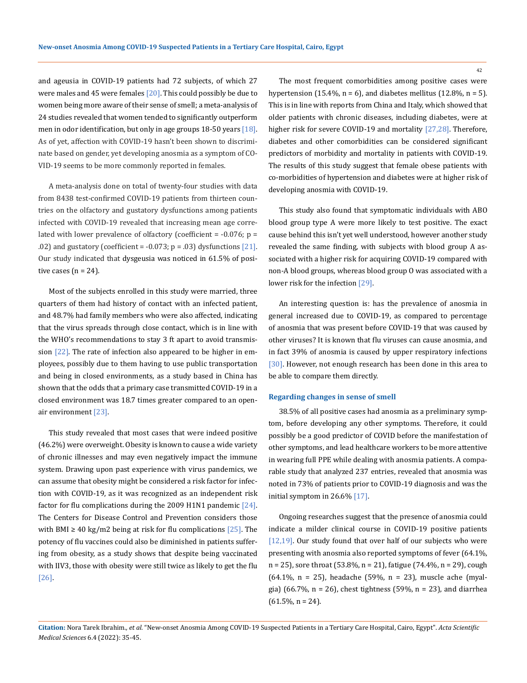and ageusia in COVID-19 patients had 72 subjects, of which 27 were males and 45 were females  $[20]$ . This could possibly be due to women being more aware of their sense of smell; a meta-analysis of 24 studies revealed that women tended to significantly outperform men in odor identification, but only in age groups 18-50 years [18]. As of yet, affection with COVID-19 hasn't been shown to discriminate based on gender, yet developing anosmia as a symptom of CO-VID-19 seems to be more commonly reported in females.

A meta-analysis done on total of twenty-four studies with data from 8438 test-confirmed COVID-19 patients from thirteen countries on the olfactory and gustatory dysfunctions among patients infected with COVID-19 revealed that increasing mean age correlated with lower prevalence of olfactory (coefficient =  $-0.076$ ; p = .02) and gustatory (coefficient =  $-0.073$ ; p = .03) dysfunctions [21]. Our study indicated that dysgeusia was noticed in 61.5% of positive cases  $(n = 24)$ .

Most of the subjects enrolled in this study were married, three quarters of them had history of contact with an infected patient, and 48.7% had family members who were also affected, indicating that the virus spreads through close contact, which is in line with the WHO's recommendations to stay 3 ft apart to avoid transmission  $[22]$ . The rate of infection also appeared to be higher in employees, possibly due to them having to use public transportation and being in closed environments, as a study based in China has shown that the odds that a primary case transmitted COVID-19 in a closed environment was 18.7 times greater compared to an openair environment [23].

This study revealed that most cases that were indeed positive (46.2%) were overweight. Obesity is known to cause a wide variety of chronic illnesses and may even negatively impact the immune system. Drawing upon past experience with virus pandemics, we can assume that obesity might be considered a risk factor for infection with COVID-19, as it was recognized as an independent risk factor for flu complications during the 2009 H1N1 pandemic  $[24]$ . The Centers for Disease Control and Prevention considers those with BMI  $\geq$  40 kg/m2 being at risk for flu complications [25]. The potency of flu vaccines could also be diminished in patients suffering from obesity, as a study shows that despite being vaccinated with IIV3, those with obesity were still twice as likely to get the flu [26].

The most frequent comorbidities among positive cases were hypertension (15.4%,  $n = 6$ ), and diabetes mellitus (12.8%,  $n = 5$ ). This is in line with reports from China and Italy, which showed that older patients with chronic diseases, including diabetes, were at higher risk for severe COVID-19 and mortality [27,28]. Therefore, diabetes and other comorbidities can be considered significant predictors of morbidity and mortality in patients with COVID-19. The results of this study suggest that female obese patients with co-morbidities of hypertension and diabetes were at higher risk of developing anosmia with COVID-19.

This study also found that symptomatic individuals with ABO blood group type A were more likely to test positive. The exact cause behind this isn't yet well understood, however another study revealed the same finding, with subjects with blood group A associated with a higher risk for acquiring COVID-19 compared with non-A blood groups, whereas blood group O was associated with a lower risk for the infection [29].

An interesting question is: has the prevalence of anosmia in general increased due to COVID-19, as compared to percentage of anosmia that was present before COVID-19 that was caused by other viruses? It is known that flu viruses can cause anosmia, and in fact 39% of anosmia is caused by upper respiratory infections [30]. However, not enough research has been done in this area to be able to compare them directly.

#### **Regarding changes in sense of smell**

38.5% of all positive cases had anosmia as a preliminary symptom, before developing any other symptoms. Therefore, it could possibly be a good predictor of COVID before the manifestation of other symptoms, and lead healthcare workers to be more attentive in wearing full PPE while dealing with anosmia patients. A comparable study that analyzed 237 entries, revealed that anosmia was noted in 73% of patients prior to COVID-19 diagnosis and was the initial symptom in 26.6% [17].

Ongoing researches suggest that the presence of anosmia could indicate a milder clinical course in COVID-19 positive patients [12,19]. Our study found that over half of our subjects who were presenting with anosmia also reported symptoms of fever (64.1%, n = 25), sore throat (53.8%, n = 21), fatigue (74.4%, n = 29), cough (64.1%, n = 25), headache (59%, n = 23), muscle ache (myalgia) (66.7%, n = 26), chest tightness (59%, n = 23), and diarrhea  $(61.5\%, n = 24)$ .

**Citation:** Nora Tarek Ibrahim*., et al.* "New-onset Anosmia Among COVID-19 Suspected Patients in a Tertiary Care Hospital, Cairo, Egypt". *Acta Scientific Medical Sciences* 6.4 (2022): 35-45.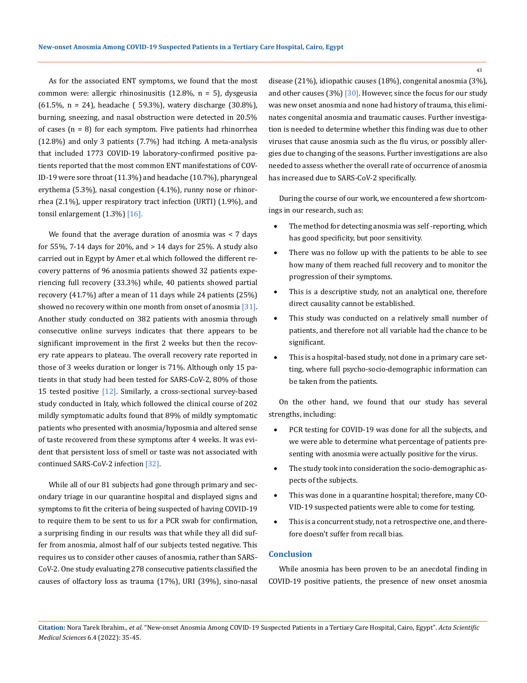As for the associated ENT symptoms, we found that the most common were: allergic rhinosinusitis (12.8%, n = 5), dysgeusia (61.5%, n = 24), headache ( 59.3%), watery discharge (30.8%), burning, sneezing, and nasal obstruction were detected in 20.5% of cases  $(n = 8)$  for each symptom. Five patients had rhinorrhea (12.8%) and only 3 patients (7.7%) had itching. A meta-analysis that included 1773 COVID-19 laboratory-confirmed positive patients reported that the most common ENT manifestations of COV-ID-19 were sore throat (11.3%) and headache (10.7%), pharyngeal erythema (5.3%), nasal congestion (4.1%), runny nose or rhinorrhea (2.1%), upper respiratory tract infection (URTI) (1.9%), and tonsil enlargement  $(1.3\%)$   $[16]$ .

We found that the average duration of anosmia was < 7 days for 55%, 7-14 days for 20%, and > 14 days for 25%. A study also carried out in Egypt by Amer et.al which followed the different recovery patterns of 96 anosmia patients showed 32 patients experiencing full recovery (33.3%) while, 40 patients showed partial recovery (41.7%) after a mean of 11 days while 24 patients (25%) showed no recovery within one month from onset of anosmia [31]. Another study conducted on 382 patients with anosmia through consecutive online surveys indicates that there appears to be significant improvement in the first 2 weeks but then the recovery rate appears to plateau. The overall recovery rate reported in those of 3 weeks duration or longer is 71%. Although only 15 patients in that study had been tested for SARS-CoV-2, 80% of those 15 tested positive [12]. Similarly, a cross-sectional survey-based study conducted in Italy, which followed the clinical course of 202 mildly symptomatic adults found that 89% of mildly symptomatic patients who presented with anosmia/hyposmia and altered sense of taste recovered from these symptoms after 4 weeks. It was evident that persistent loss of smell or taste was not associated with continued SARS-CoV-2 infection [32].

While all of our 81 subjects had gone through primary and secondary triage in our quarantine hospital and displayed signs and symptoms to fit the criteria of being suspected of having COVID-19 to require them to be sent to us for a PCR swab for confirmation, a surprising finding in our results was that while they all did suffer from anosmia, almost half of our subjects tested negative. This requires us to consider other causes of anosmia, rather than SARS-CoV-2. One study evaluating 278 consecutive patients classified the causes of olfactory loss as trauma (17%), URI (39%), sino-nasal disease (21%), idiopathic causes (18%), congenital anosmia (3%), and other causes  $(3\%)$  [30]. However, since the focus for our study was new onset anosmia and none had history of trauma, this eliminates congenital anosmia and traumatic causes. Further investigation is needed to determine whether this finding was due to other viruses that cause anosmia such as the flu virus, or possibly allergies due to changing of the seasons. Further investigations are also needed to assess whether the overall rate of occurrence of anosmia has increased due to SARS-CoV-2 specifically.

During the course of our work, we encountered a few shortcomings in our research, such as:

- The method for detecting anosmia was self-reporting, which has good specificity, but poor sensitivity.
- There was no follow up with the patients to be able to see how many of them reached full recovery and to monitor the progression of their symptoms.
- This is a descriptive study, not an analytical one, therefore direct causality cannot be established.
- This study was conducted on a relatively small number of patients, and therefore not all variable had the chance to be significant.
- This is a hospital-based study, not done in a primary care setting, where full psycho-socio-demographic information can be taken from the patients.

On the other hand, we found that our study has several strengths, including:

- PCR testing for COVID-19 was done for all the subjects, and we were able to determine what percentage of patients presenting with anosmia were actually positive for the virus.
- The study took into consideration the socio-demographic aspects of the subjects.
- This was done in a quarantine hospital; therefore, many CO-VID-19 suspected patients were able to come for testing.
- This is a concurrent study, not a retrospective one, and therefore doesn't suffer from recall bias.

# **Conclusion**

While anosmia has been proven to be an anecdotal finding in COVID-19 positive patients, the presence of new onset anosmia

**Citation:** Nora Tarek Ibrahim*., et al.* "New-onset Anosmia Among COVID-19 Suspected Patients in a Tertiary Care Hospital, Cairo, Egypt". *Acta Scientific Medical Sciences* 6.4 (2022): 35-45.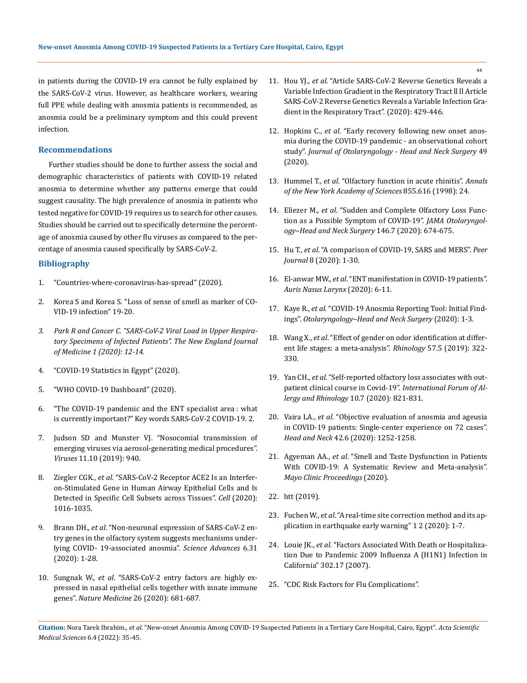in patients during the COVID-19 era cannot be fully explained by the SARS-CoV-2 virus. However, as healthcare workers, wearing full PPE while dealing with anosmia patients is recommended, as anosmia could be a preliminary symptom and this could prevent infection.

## **Recommendations**

Further studies should be done to further assess the social and demographic characteristics of patients with COVID-19 related anosmia to determine whether any patterns emerge that could suggest causality. The high prevalence of anosmia in patients who tested negative for COVID-19 requires us to search for other causes. Studies should be carried out to specifically determine the percentage of anosmia caused by other flu viruses as compared to the percentage of anosmia caused specifically by SARS-CoV-2.

# **Bibliography**

- 1. ["Countries-where-coronavirus-has-spread" \(2020\).](https://www.worldometers.info/coronavirus/countries-where-coronavirus-has-spread/)
- 2. Korea S and Korea S. "Loss of sense of smell as marker of CO-VID-19 infection" 19-20.
- *3. [Park R and Cancer C. "SARS-CoV-2 Viral Load in Upper Respira](https://www.nejm.org/doi/full/10.1056/nejmc2001737)[tory Specimens of Infected Patients". The New England Journal](https://www.nejm.org/doi/full/10.1056/nejmc2001737)  [of Medicine 1 \(2020\): 12-14.](https://www.nejm.org/doi/full/10.1056/nejmc2001737)*
- 4. ["COVID-19 Statistics in Egypt" \(2020\).](https://www.care.gov.eg/EgyptCare/Index.aspx)
- 5. ["WHO COVID-19 Dashboard" \(2020\).](https://covid19.who.int/)
- 6. "The COVID-19 pandemic and the ENT specialist area : what is currently important?" Key words SARS-CoV-2 COVID-19. 2.
- 7. [Judson SD and Munster VJ. "Nosocomial transmission of](https://www.ncbi.nlm.nih.gov/pmc/articles/PMC6832307/)  [emerging viruses via aerosol-generating medical procedures".](https://www.ncbi.nlm.nih.gov/pmc/articles/PMC6832307/)  *Viruses* [11.10 \(2019\): 940.](https://www.ncbi.nlm.nih.gov/pmc/articles/PMC6832307/)
- 8. Ziegler CGK., *et al*[. "SARS-CoV-2 Receptor ACE2 Is an Interfer](https://pubmed.ncbi.nlm.nih.gov/32413319/)[on-Stimulated Gene in Human Airway Epithelial Cells and Is](https://pubmed.ncbi.nlm.nih.gov/32413319/)  [Detected in Specific Cell Subsets across Tissues".](https://pubmed.ncbi.nlm.nih.gov/32413319/) *Cell* (2020): [1016-1035.](https://pubmed.ncbi.nlm.nih.gov/32413319/)
- 9. Brann DH., *et al*[. "Non-neuronal expression of SARS-CoV-2 en](https://pubmed.ncbi.nlm.nih.gov/32937591/)[try genes in the olfactory system suggests mechanisms under](https://pubmed.ncbi.nlm.nih.gov/32937591/)[lying COVID- 19-associated anosmia".](https://pubmed.ncbi.nlm.nih.gov/32937591/) *Science Advances* 6.31 [\(2020\): 1-28.](https://pubmed.ncbi.nlm.nih.gov/32937591/)
- 10. Sungnak W., *et al*[. "SARS-CoV-2 entry factors are highly ex](https://www.nature.com/articles/s41591-020-0868-6)[pressed in nasal epithelial cells together with innate immune](https://www.nature.com/articles/s41591-020-0868-6)  genes". *Nature Medicine* 26 (2020): 681-687.
- 11. Hou YJ., *et al*. "Article SARS-CoV-2 Reverse Genetics Reveals a Variable Infection Gradient in the Respiratory Tract ll ll Article SARS-CoV-2 Reverse Genetics Reveals a Variable Infection Gradient in the Respiratory Tract". (2020): 429-446.
- 12. Hopkins C., *et al*[. "Early recovery following new onset anos](https://journalotohns.biomedcentral.com/articles/10.1186/s40463-020-00423-8)[mia during the COVID-19 pandemic - an observational cohort](https://journalotohns.biomedcentral.com/articles/10.1186/s40463-020-00423-8)  study". *[Journal of Otolaryngology - Head and Neck Surgery](https://journalotohns.biomedcentral.com/articles/10.1186/s40463-020-00423-8)* 49 [\(2020\).](https://journalotohns.biomedcentral.com/articles/10.1186/s40463-020-00423-8)
- 13. Hummel T., *et al*[. "Olfactory function in acute rhinitis".](https://pubmed.ncbi.nlm.nih.gov/9929658/) *Annals [of the New York Academy of Sciences](https://pubmed.ncbi.nlm.nih.gov/9929658/)* 855.616 (1998): 24.
- 14. Eliezer M., *et al*[. "Sudden and Complete Olfactory Loss Func](https://jamanetwork.com/journals/jamaotolaryngology/fullarticle/2764417)[tion as a Possible Symptom of COVID-19".](https://jamanetwork.com/journals/jamaotolaryngology/fullarticle/2764417) *JAMA Otolaryngol[ogy–Head and Neck Surgery](https://jamanetwork.com/journals/jamaotolaryngology/fullarticle/2764417)* 146.7 (2020): 674-675.
- 15. Hu T., *et al*[. "A comparison of COVID-19, SARS and MERS".](https://www.ncbi.nlm.nih.gov/pmc/articles/PMC7443081/) *Peer Journal* [8 \(2020\): 1-30.](https://www.ncbi.nlm.nih.gov/pmc/articles/PMC7443081/)
- 16. El-anwar MW., *et al*[. "ENT manifestation in COVID-19 patients".](https://doi.org/10.1016/j.anl.2020.06.003)  *[Auris Nasus Larynx](https://doi.org/10.1016/j.anl.2020.06.003)* (2020): 6-11.
- 17. Kaye R., *et al*. "COVID-19 Anosmia Reporting Tool: Initial Findings". *Otolaryngology–Head and Neck Surgery* (2020): 1-3.
- 18. Wang X., *et al*[. "Effect of gender on odor identification at differ](https://pubmed.ncbi.nlm.nih.gov/31152646/)[ent life stages: a meta-analysis".](https://pubmed.ncbi.nlm.nih.gov/31152646/) *Rhinology* 57.5 (2019): 322- [330.](https://pubmed.ncbi.nlm.nih.gov/31152646/)
- 19. Yan CH., *et al*[. "Self-reported olfactory loss associates with out](https://pubmed.ncbi.nlm.nih.gov/32329222/)[patient clinical course in Covid-19".](https://pubmed.ncbi.nlm.nih.gov/32329222/) *International Forum of Al[lergy and Rhinology](https://pubmed.ncbi.nlm.nih.gov/32329222/)* 10.7 (2020): 821-831.
- 20. Vaira LA., *et al*[. "Objective evaluation of anosmia and ageusia](https://pubmed.ncbi.nlm.nih.gov/32342566/)  [in COVID-19 patients: Single-center experience on 72 cases".](https://pubmed.ncbi.nlm.nih.gov/32342566/)  *Head and Neck* [42.6 \(2020\): 1252-1258.](https://pubmed.ncbi.nlm.nih.gov/32342566/)
- 21. Agyeman AA., *et al*[. "Smell and Taste Dysfunction in Patients](https://doi.org/10.1016/j.mayocp.2020.05.030)  [With COVID-19: A Systematic Review and Meta-analysis".](https://doi.org/10.1016/j.mayocp.2020.05.030)  *[Mayo Clinic Proceedings](https://doi.org/10.1016/j.mayocp.2020.05.030)* (2020).
- 22. [htt \(2019\).](https://www.who.int/emergencies/diseases/novel-coronavirus-2019/advice-for-public)
- 23. Fuchen W., *et al*. "A real-time site correction method and its application in earthquake early warning" 1 2 (2020): 1-7.
- 24. Louie JK., *et al*. "Factors Associated With Death or Hospitalization Due to Pandemic 2009 Influenza A (H1N1) Infection in California" 302.17 (2007).
- 25. ["CDC Risk Factors for Flu Complications".](https://www.cdc.gov/flu/highrisk/index.htm)

**Citation:** Nora Tarek Ibrahim*., et al.* "New-onset Anosmia Among COVID-19 Suspected Patients in a Tertiary Care Hospital, Cairo, Egypt". *Acta Scientific Medical Sciences* 6.4 (2022): 35-45.